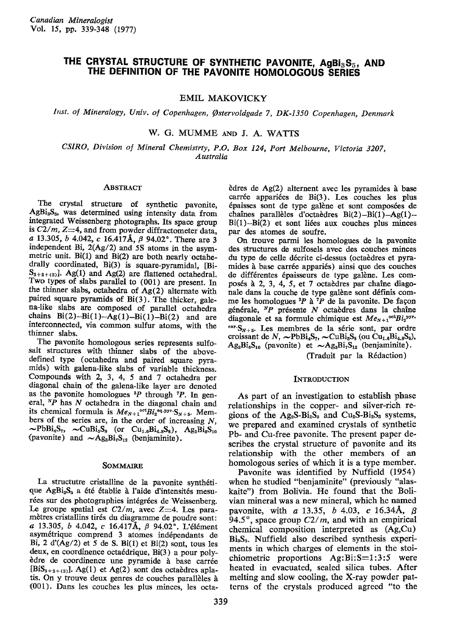# THE CRYSTAL STRUCTURE OF SYNTHETIC PAVONITE, AgBi<sub>8</sub>S<sub>5</sub>, AND THE DEFINITION OF THE PAVONITE HOMOLOGOUS

## BMIL MAKOVICKY

Inst, of Mineralogy, Univ. of Copenhagen, Qstervoldgade 7, DK-L350 Copenhagen, Denmark

# W. G. MUMME AND J. A. WATTS

CSIRO, Division of Mineral Chemistrty, P.O. Box 124, Port Melbourne, Victoria 3207,<br>Australia

#### **ABSTRACT**

The crystal structure of synthetic pavonite,  $AgBi<sub>3</sub>S<sub>5</sub>$ , was determined using intensity data from integrated Weissenberg photographs. Its space group is  $C2/m$ ,  $Z=4$ , and from powder diffractometer data, a 13.305, b 4.042, c 16.417Å,  $\beta$  94.02°. There are 3 independent Bi,  $2(Ag/2)$  and 5S atoms in the asymmetric unit.  $Bi(1)$  and  $Bi(2)$  are both nearly octahedrally coordinated, Bi(3) is square-pyramidal, [Bi- $S_{3+2+(3)}$ ]. Ag(1) and Ag(2) are flattened octahedral. Two types of slabs parallel to (001) are present. In the thinner slabs, octahedra of Ag(2) alternate with paired square pyramids of Bi(3). The thicker, galena-like slabs are composed of parallel octahedra chains  $Bi(2) - Bi(1) - Ag(1) - Bi(1) - Bi(2)$  and are interconnected, via common sulfur atoms. with the thinner slabs.

Tho pavonite homologous series represents sulfosalt structures with thinner slabs of the abovedefined type (octahedra and paired square pyramids) with galena-like slabs of variable thickness. Compounds with  $2, 3, 4, 5$  and  $7$  octahedra per diagonal chain of the galena-like layer are denoted as the pavonite homologues  $^{2}P$  through  $^{7}P$ . In general,  $N_P$  has N octahedra in the diagonal chain and its chemical formula is  $Me<sub>N+1</sub>^{oct}Bi<sub>2</sub>^{sq.pyr}S<sub>N+5</sub>$ . Members of the series are, in the order of increasing  $N$ ,  $\sim$ PbBi<sub>4</sub>S<sub>7</sub>,  $\sim$ CuBi<sub>5</sub>S<sub>8</sub> (or Cu<sub>1.6</sub>Bi<sub>4.8</sub>S<sub>8</sub>), Ag<sub>2</sub>Bi<sub>6</sub>S<sub>10</sub> (pavonite) and  $\sim$ Ag<sub>3</sub>Bi<sub>7</sub>S<sub>12</sub> (benjaminite).

### SOMMAIRE

La structutre cristalline de la pavonite synthétique Ag $Bi_3S_5$  a été établie à l'aide d'intensités mesurées sur des photographies intégrées de Weissenberg. Le groupe spatial est  $C2/m$ , avec  $Z=4$ . Les paramètres cristallins tirés du diagramme de poudre sont: a 13.305, b 4.042, c 16.417Å,  $\beta$  94.02°. L'élément asymétrique comprend 3 atomes indépendants de Bi, 2  $d'(Ag/2)$  et 5 de S. Bi(1) et Bi(2) sont, tous les deux, en coordinence octa6drique, Bi(3) a pour polyèdre de coordinence une pyramide à base carrée [BiS<sub>3+2+(3)</sub>]. Ag(1) et Ag(2) sont des octaèdres aplatis. On y trouve deux genres de couches parallèles à (001). Dans les couches les plus minces, les octaèdres de  $Ag(2)$  alternent avec les pyramides à base carrée appariées de Bi(3). Les couches les plus épaisses sont de type galène et sont composées de chaînes parallèles d'octaèdres  $Bi(2) - Bi(1) - Ag(1) Bi(1) - Bi(2)$  et sont liées aux couches plus minces par des atomes de soufre.

On trouve parmi les homologues de la pavomte des structures de sulfosels avec des couches minces du type de celle décrite ci-dessus (octaèdres et pyramides à base carrée appariés) ainsi que des couches de différentes épaisseurs de type galène. Les composés à 2, 3, 4, 5, et 7 octaèdres par chaîne diagonale dans la couche de type galène sont définis comme les homologues  $P \nightharpoonup P$  de la pavonite. De façon générale,  $N$ P présente N octaèdres dans la chaîne diagonale et sa formule chimique est  $Me<sub>N+1</sub>^{\text{oct}} Bi<sub>2</sub> <sup>pyr</sup>$ .  $e^{ar}S_{N+5}$ . Les membres de la série sont, par ordre croissant de N,  $\sim$ PbBi<sub>4</sub>S<sub>7</sub>,  $\sim$ CuBi<sub>5</sub>S<sub>8</sub> (ou Cu<sub>1.6</sub>Bi<sub>4.8</sub>S<sub>8</sub>),  $Ag_2Bi_6S_{10}$  (pavonite) et  $\sim Ag_3Bi_7S_{12}$  (benjaminite).

(fraduit par la R6daction)

### **INTRODUCTION**

As part of an investigation to establish phase relationships in the copper- and silver-rich regions of the Ag<sub>2</sub>S-Bi<sub>2</sub>S<sub>3</sub> and Cu<sub>2</sub>S-Bi<sub>2</sub>S<sub>3</sub> systems, we prepared and examined crystals of synthetic Pb- and Cu-free pavonite. The present paper describes the crystal structure of pavonite and its relationship with the other members of an homologous series of which it is a type member.

Pavonite was identified by Nuffield (1954) when he studied "benjaminite" (previously "alaskaite") from Bolivia. He found that the Boli vian mineral was a new mineral, which he named pavonite, with a 13.35, b 4.03, c 16.34Å,  $\beta$ 94.5°, space group  $C2/m$ , and with an empirical chemical composition interpreted as (Ag,Cu) Bi<sub>3</sub>S<sub>5</sub>. Nuffield also described synthesis experiments in which charges of elements in the stoichiometris proportions Ag:Bi:S=1:3:5 were heated in evacuated. sealed silica tubes. After melting and slow cooling, the X-ray powder patterns of the crystals produced agreed "to the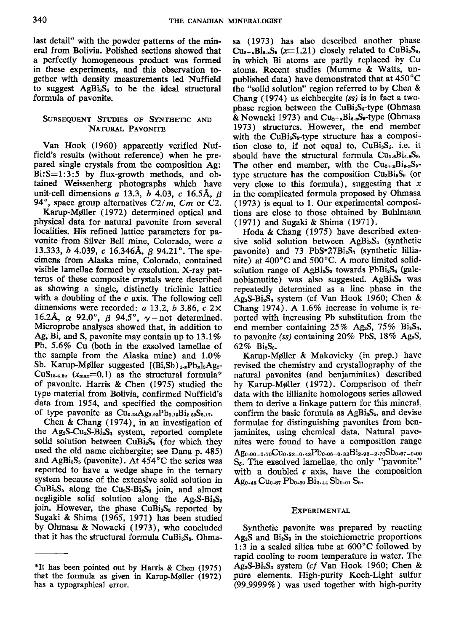last detail" with the powder patterns of the mineral from Bolivia. Polished sections showed that a perfectly homogeneous product was formed in these experiments, and this observation together with density measurements led Nuffield to suggest  $AgBi<sub>s</sub>S<sub>s</sub>$  to be the ideal structural formula of pavonite.

## SUBSEQUENT STUDIES OF SYNTHETIC AND NATURAL PAvoNITE

Van Hook (1960) apparently verified Nuffield's results (without reference) when he prepared single crystals from the composition Ag: Bi:S=1:3:5 by flux-growth methods, and obtained Weissenberg photographs which have unit-cell dimensions  $\alpha$  13.3,  $\dot{b}$  4.03,  $\dot{c}$  16.5Å,  $\dot{b}$ 94 $^{\circ}$ , space group alternatives  $C2/m$ , Cm or C2.

Karup-Møller (1972) determined optical and physical data for natural pavonite from several Iocalities. His refined lattice parameters for pavonite from Silver Bell mine, Colorado, were a 13.333, b 4.039, c 16.346Å,  $\beta$  94.21°. The specimens from Alaska mine, Colorado, contained visible lamellae formed by exsolution. X-ray patterns of these composite crystals were described as showing a single, distinctly triclinic lattice with a doubling of the  $c$  axis. The following cell dimensions were recorded:  $a$  13,2,  $b$  3.86,  $c$  2 $\times$ 16.2Å,  $\alpha$  92.0°,  $\beta$  94.5°,  $\gamma$  - not determined. Microprobe analyses showed that, in addition to Ag, Bi, and S, pavonite may contain up to  $13.1\%$ Pb, 5.6% Cu (both in the exsolved lamellae of the sample from the Alaska mine) and 1.0% Sb. Karup-Møller suggested  $[(Bi, Sb)_{1-x}Pb_x]_9Ag_2 CuS<sub>15-4.5x</sub>$  ( $x<sub>max</sub>=0.1$ ) as the structural formula<sup>\*</sup> of pavonite. Harris & Chen (1975) studied the type material from Bolivia, confirmed Nuffield's data from 1954, and specified the composition of type pavonite as  $Cu_{0.24}Ag_{0.93}Pb_{0.15}Bi_{2.80}S_{5.17}$ .

Chen & Chang (1974), in an investigation of the  $Ag_2S-Cu_2S-Bi_2S_3$  system, reported complete solid solution between  $CuBi<sub>3</sub>S<sub>5</sub>$  (for which they used the old name eichbergite; see Dana p. 485) and AgBi<sub>3</sub>S<sub>5</sub> (pavonite). At  $454^{\circ}$ C the series was reported to have a wedge shape in the ternary system because of the extensive solid solution in  $CuBi<sub>3</sub>S<sub>5</sub>$  along the  $Cu<sub>2</sub>S-Bi<sub>2</sub>S<sub>3</sub>$  join, and almost negligible solid solution along the  $Ag_2S-Bi_2S_3$ join. However, the phase CuBi<sub>3</sub>S<sub>5</sub> reported by Sugaki & Shima (1965, l97l) has been studied by Ohmasa & Nowacki (1973), who concluded that it has the structural formula CuBisSs. Ohmasa (1973) has also described another phase  $Cu_{2+x}Bi_{6-x}S_9$  (x=1.21) closely related to CuBi<sub>5</sub>S<sub>8</sub>, in which Bi atoms are partly replaced by Cu atoms. Recent studies (Mumme & Watts, unpublished data) have demonstrated that at 450'C the "solid solution" region referred to by Chen & Chang (1974) as eichbergite  $(ss)$  is in fact a twophase region between the  $CuBi<sub>5</sub>S<sub>s</sub>$ -type (Ohmasa & Nowacki 1973) and  $Cu_{2+x}Bi_{6-x}S_9$ -type (Ohmasa 1973) structures. However, the end member with the CuBisSs-type structure has a composition close to, if not equal to, CuBiaSs. i.e. it should have the structural formula Cu<sub>1.6</sub>Bi<sub>4.8</sub>S<sub>8</sub>. The other end member, with the  $Cu_{2+x}Bi_{6-x}S_9$ type structure has the composition Cu<sub>3</sub>Bi<sub>5</sub>S<sub>9</sub> (or very close to this formula), suggesting that  $x$ in the complicated formula proposed by Ohmasa (1973) is equal to 1. Our experimental compositions are close to those obtained by Buhlmann (197I) and Sugaki & Shima (1971).

Hoda & Chang (1975) have described extensive solid solution between AgBi<sub>3</sub>S<sub>5</sub> (synthetic pavonite) and 73 PbS $\cdot$ 27Bi<sub>2</sub>S<sub>3</sub> (synthetic lillianite) at  $400^{\circ}$ C and  $500^{\circ}$ C. A more limited solidsolution range of  $AgBi<sub>85</sub>$  towards  $PbBi<sub>254</sub>$  (galenobismutite) was also suggested. AgBisSs was repeatedly determined as a line phase in the  $Ag_2S-Bi_2S_3$  system (cf Van Hook 1960; Chen & Chang 1974). A 1.6% increase in volume is reported with increasing Pb substitution from the end member containing  $25\%$  Ag<sub>2</sub>S,  $75\%$  Bi<sub>2</sub>S<sub>3</sub>, to pavonite (ss) containing  $20\%$  PbS,  $18\%$  Ag<sub>2</sub>S, 62Vo BizSa.

Karup-Møller & Makovicky (in prep.) have revised the chemistry and crystallography of the natural pavonites (and benjaminites) described by Karup-M{ller (1972). Comparison of their data with the lillianite homologous series allowed them to derive a linkage pattern for this mineral, confirm the basic formula as  $AgBi<sub>3</sub>S<sub>5</sub>$ , and devise formulae for distinguishing pavonites from benjaminites, using chemical data. Natural pavonites were found to have a composition range  $Ag_{0.90-0.70}Cu_{0.28-0.43}Pb_{0.06-0.33}Bi_{2.93-2.70}Sb_{0.07-0.00}$  $S_{5}$ . The exsolved lamellae, the only "pavonite" with a doubled  $c$  axis, have the composition  $Ag<sub>0.48</sub> Cu<sub>0.87</sub> Pb<sub>0.59</sub> Bi<sub>2.44</sub> Sb<sub>0.01</sub> S<sub>5</sub>.$ 

## **EXPERIMENTAL**

Synthetic pavonite was prepared by reacting Ag<sub>2</sub>S and  $Bi<sub>2</sub>S<sub>3</sub>$  in the stoichiometric proportions l:3 in a sealed silica tube at 60O"C followed by rapid cooling to room temperature in water. The  $Ag_2S-Bi_2S_3$  system (cf Van Hook 1960; Chen & pure elements. High-purity Koch-Light sulfur  $(99.9999\%)$  was used together with high-purity

<sup>\*</sup>It has been pointed out by Harris & Chen (1975) that the formula as given in Karup-Mgller (1972) has a typographical error.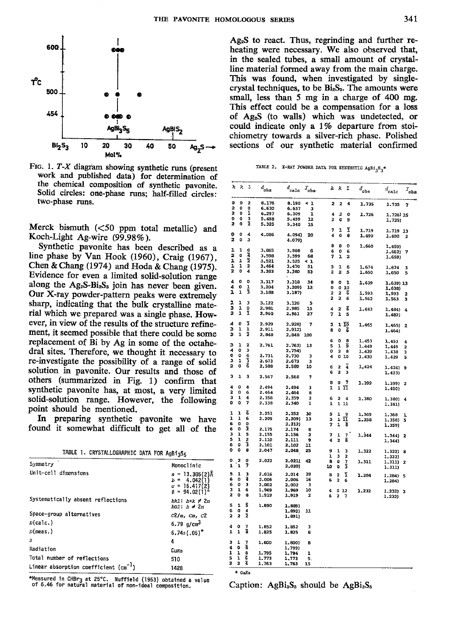

FIG. 1.  $T-X$  diagram showing synthetic runs (present work and published data) for determination of the chemical composition of synthetic pavonite. Solid circles: one-phase runs; half-filled circles: two-phase runs.

Merck bismuth  $(<50$  ppm total metallic) and Koch-Light Ag-wire  $(99.98\%)$ .

Synthetic pavonite has been described as a line phase by Van Hook (1960), Craig (1967), Chen & Chang (1974) and Hoda & Chang (1975). Evidence for even a limited solid-solution ranse along the  $Ag_2S-Bi_2S_3$  join has never been given. Our X-ray powder-pattern peaks were extremely sharp, indicating that the bulk crystalline material which we prepared was a single phase. However, in view of the results of the structure refinement, it seemed possible that there could be some replacement of Bi by Ag in some of the octahedral sites. Therefore, we thought it necessary to re-investigate the possibility of a range of solid solution in pavonite. Our results and those of others (summarized in Fig. 1) confirm that synthetic pavonite has, at most, a very limited solid-solution range. However, the following point should be mentioned.

In preparing synthetic pavonite we have found it somewhat difficult to get all of the

TABLE 1. CRYSTALLOGRAPHIC DATA FOR AgRisSe

| Symmetry                                          | Monoclinic                                                                  |  |  |
|---------------------------------------------------|-----------------------------------------------------------------------------|--|--|
| Unit-cell dimensions                              | а = 13.305(2)Ă<br>$b = 4.042(1)$<br>$c = 16.417(2)$<br>$\beta = 94.02(1)$ ° |  |  |
| Systematically absent reflections                 | hkl: h+k # 2n<br>hol: h 4 2n                                                |  |  |
| Space-group alternatives                          | $C2/m$ , $Cm$ , $C2$                                                        |  |  |
| $D$ (calc.)                                       | $6.79$ q/cm <sup>3</sup>                                                    |  |  |
| $\n  D(meas.)\n$                                  | $6.74 \pm (0.05)^*$                                                         |  |  |
| 2                                                 | 4                                                                           |  |  |
| Radiation                                         | Cuka                                                                        |  |  |
| Total number of reflections                       | 510                                                                         |  |  |
| Linear absorption coefficient (cm <sup>-1</sup> ) | 1428                                                                        |  |  |

\*Measured in CHBr<sub>3</sub> at 25°C. Nuffield (1953) obtained a value<br>of 6.46 for natural material of non-ideal composition.

AgeS to react. Thus, regrinding and further reheating were necessary. We also observed that, in the sealed tubes, a small amount of crystalline material formed away from the main charge. This was found, when investigated by singlecrystal techniques, to be  $Bi<sub>2</sub>S<sub>3</sub>$ . The amounts were small, less than 5 mg in a charge of 400 mg. This effect could be a compensation for a loss of Ag<sub>2</sub>S (to walls) which was undetected, or could indicate only a  $1\%$  departure from stoichiometry towards a silver-rich phase. Polished 40 50  $A_0 = S \rightarrow$  sections of our synthetic material confirmed

TABLE 2. X-RAY POWDER DATA FOR SYNTHETIC AgBi<sub>3</sub>S<sub>3</sub>\*

| ħ             | κ       | ı                       | $d_{\rm obs}$  | $d_{\rm calc}$<br>$x_{obs}$      | п                    | k                   | ı      | $d_{\rm obs}$  | $d_{\rm calc}$   | $T_{obs}$      |
|---------------|---------|-------------------------|----------------|----------------------------------|----------------------|---------------------|--------|----------------|------------------|----------------|
| ٥<br>2        | o<br>0  | 2<br>0                  | 8,176<br>6.630 | 8,190<br>≺ 1<br>6.637            | 2<br>3               | 2                   | 4      | 1.735          | 1.735            | 7              |
| 2             | Ò       | ī                       | 6.297          | 6.309                            | ı<br>4               | $\ddot{\textbf{2}}$ | O      | 1.726          | 1.726) 15        |                |
| o             | ٥       | 3                       | 5,458          | 5.459                            | 12<br>$\overline{2}$ | o                   | 9      |                | 1.725)           |                |
| 2             | o       | $\overline{\mathbf{z}}$ | 5.325          | 5.340                            | 15                   |                     |        |                |                  |                |
|               |         |                         |                |                                  | 7                    | ı                   | T      | 1.719          | 1.719            | 13             |
| o             | 0       | 4                       | 4,086          | 4.094)                           | 20<br>4              | ٥                   | 8      | 1.690          | 1.690            | 2              |
| 2             | ٥       | з                       |                | 4.079)                           |                      |                     |        |                |                  |                |
|               |         |                         |                |                                  | 8                    | ٥                   | ٥      | 1,660          | 1.659)           |                |
| 1             | ı       | o                       | 3.865          | 3,868                            | 6<br>6               | 0                   | 6      |                | 1.662)           | 7              |
| 2             | 0       | 4                       | 3,598          | 3,599                            | 68<br>7              | ı                   | 2      |                | 1.659)           |                |
| $\frac{1}{1}$ | ı       | ź                       | 3,521          | 3.525<br>≺ 1                     |                      |                     |        |                |                  |                |
|               | ı       | $\overline{a}$          | 3.464          | 51<br>3,470                      | 5                    | 1                   | 6      | 1,674          | 1.674            | 3              |
| 2             | ٥       | 4                       | 3.383          | 3,380<br>53                      | 2                    | 2                   | 5      | 1.650          | 1,650            | 5              |
|               |         |                         |                |                                  |                      |                     |        |                |                  |                |
| 4             | o       | o                       | 3.317          | 3,318<br>34                      | 8                    | 0                   | 1      | 1,639          | 1.639) 13        |                |
| 4             | o       | $\frac{1}{3}$           | 3.204          | 3.209)<br>12                     | 0                    | 0                   | 10     |                | 1.638)           |                |
| 2             | ı       |                         | 3,188          | 3,187)                           | 2                    | 2                   | ē      | 1.593          | 1.593            | 2              |
|               |         |                         |                |                                  | 2                    | 2                   | 6      | 1.562          | 1.563            | 3              |
| 1<br>3        | ı       | 3                       | 3.122          | 3,126                            | 5                    |                     |        |                |                  |                |
| 3             | 1<br>ı  | ٥<br>ī                  | 2.981          | 15<br>2.985                      | 4                    | 2                   | ē      | 1.483          | 1,484)           | 4              |
|               |         |                         | 2.960          | 2.961<br>27                      | 7                    | ı                   | 5      |                | 1.482)           |                |
| 4             | ٥       | 3                       | 2.929          | 2.928)                           | 7<br>3               |                     |        |                |                  |                |
| э             | ı       | ı                       | 2.911          | 2,912)                           | 8                    | $\mathbf{o}$        | 1 IO   | 1.465          | 1,465)           | 2              |
| 3             | ı       | ž                       | 2,848          | 2,848<br>100                     |                      |                     | 7      |                | 1.464)           |                |
|               |         |                         |                |                                  | 6                    | o                   | 8      |                |                  |                |
| 3             | ı       | 2                       | 2.761          | 2.762)<br>13                     | S                    | ı                   | ğ      | 1.453          | 1,453            | 4              |
| 4             | ٥       | 3                       |                | 2,754)                           | 0                    | 2                   | 8      | 1.449<br>1,439 | 1,449            | $\overline{2}$ |
| 0             | ٥       |                         | 2.731          | 2,730                            | 3<br>4               | 0                   | 10     | 1.430          | 1,438<br>1.429   | 3              |
| 3             | 1       | $\frac{6}{3}$           | 2.673          | 2,673                            | 3                    |                     |        |                |                  | 5              |
| 2             | ٥       | Ŝ,                      | 2.588          | 2.589<br>10                      | 6                    | 2                   | ā      | 1,424          | 1.424)           | 9              |
|               |         |                         |                |                                  | 6                    | 2                   | з      |                | 1.423)           |                |
| 3             | ı       | 3                       | 2,567          | 2.568                            | 7                    |                     |        |                |                  |                |
|               |         |                         |                |                                  | 8                    | O                   | 7      | 1.399          | 1.399)           | 2              |
| 4             | O       | 4                       | 2.494          | 2.494                            | 3<br>1               | ı                   | π      |                | 1,400)           |                |
| 2             | 0       | 6                       | 2.464          | 2.464                            | 8                    |                     |        |                |                  |                |
| 3             | 1       | 4                       | 2,358          | 2.359<br>$\overline{\mathbf{c}}$ | 6                    | 2                   | 4      | 1.380          | 1.380)           | 4              |
| D             | o       | 7                       | 2.338          | 2,340<br>ı                       | 1                    | 1                   | 11     |                | 1.381)           |                |
|               |         |                         |                |                                  |                      |                     |        |                |                  |                |
| ı             | ı       | 7                       | 2.251          | 2.252<br>30                      | 5                    | ı                   | 9      | 1.369          | 1,368            | 1              |
| 1             | 1       | 6                       | 2,209          | 2,209)<br>13                     | з                    | ı                   | п      | 1.358          | 1,358)           | 5              |
| 6<br>6        | o<br>Ó  | o<br>2                  |                | 2.212)                           | 7                    | ı                   | ä      |                | 1,359)           |                |
| 3             | ı       | 5                       | 2.175          | 2.174<br>8                       |                      |                     |        |                |                  |                |
| 5             | ı       |                         | 2.155<br>2.110 | 2.156<br>2<br>2.111<br>9         | 7<br>4               | ı                   | 7<br>ā | 1,344          | 1.344)           | 2              |
| 6             | o       | 2<br>3                  | 2.101          | 2.102<br>11                      |                      | 2                   |        |                | 1.344)           |                |
| o             | o       | 8                       | 2.047          | 2.048<br>25                      | 9                    | ı                   | 3      | 1.322          |                  |                |
|               |         |                         |                |                                  | ı                    | 3                   | 2      |                | 1,322)           | 8              |
| o             | $\cdot$ |                         | 2.022          | 2.0211<br>42                     | 8                    | 0                   | 7      | 1.311          | 1.322)<br>1,311) | 2              |
| 1             | ı       | 0<br>7                  |                | 2,020)                           | 10                   | $\mathbf{O}$        | 3      |                | 1.311)           |                |
|               |         |                         |                |                                  |                      |                     |        |                |                  |                |
| 5             | ı       | 3<br>4                  | 2.016          | 2,014<br>29                      | 8                    | 2                   | ī      | 1.284          | 1.284)           | 5              |
| 6             | 0       |                         | 2.006          | 2,006<br>16                      | 6                    | 2                   | 6      |                | 1,284)           |                |
| 6<br>3        | ۰<br>1  | 3<br>6                  | 2,002<br>1.969 | 2.002<br>3<br>10                 |                      |                     |        |                |                  |                |
| 2             | ٥       | 8                       | 1.919          | 1.969<br>2                       | 4                    | ٥                   | 12     | 1.232          | 1,232)           | з              |
|               |         |                         |                | 1,919                            | 6                    | 2                   | 7      |                | 1,232)           |                |
| 5             | ı       | 3                       | 1.890          | 1.889)                           |                      |                     |        |                |                  |                |
| 6             | ٥       | 4                       |                | 1.892)<br>11                     |                      |                     |        |                |                  |                |
| 2             | 2       | ż                       |                | 1.891)                           |                      |                     |        |                |                  |                |
|               |         |                         |                |                                  |                      |                     |        |                |                  |                |
| 4             | 0       | 7                       | 1,852          | 3<br>1.852                       |                      |                     |        |                |                  |                |
| 1             | ı       | ä                       | 1.825          | 1.825<br>8                       |                      |                     |        |                |                  |                |
|               |         |                         |                |                                  |                      |                     |        |                |                  |                |
| 3             | 1       | 7                       | 1,800          | 1.800)<br>8                      |                      |                     |        |                |                  |                |
| 4             | 0       | ā                       |                | 1,799)                           |                      |                     |        |                |                  |                |
| ı             | ı       | 8                       | 1.795          | 1.794<br>ı                       |                      |                     |        |                |                  |                |
| 5             | ı       | õ                       | 1,773          | 1,773<br>5.                      |                      |                     |        |                |                  |                |
| 2             | 2       | 7                       | 1.763          | 1,763<br>15                      |                      |                     |        |                |                  |                |

 $*$  CaKe

Caption:  $AgBi<sub>3</sub>S<sub>3</sub>$  should be  $AgBi<sub>3</sub>S<sub>5</sub>$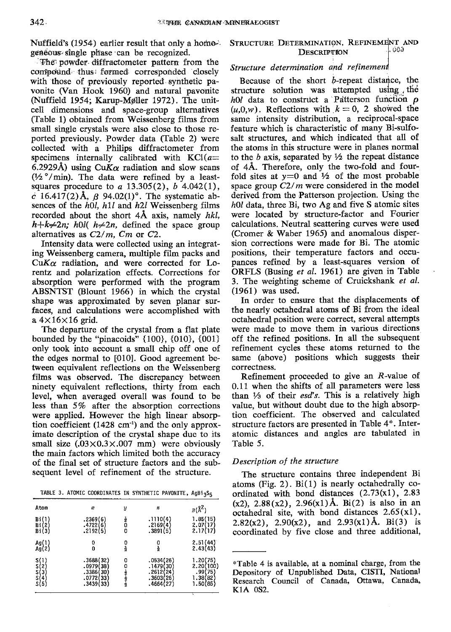Nuffield's (1954) earlier result that only a homo--<br>geneous single phase can be recognized.

The powder diffractometer pattern from the compound thus formed corresponded closely with those of previously reported synthetic pavonite (Van Hook 1960) and natural pavonite (Nuffield 1954; Karup-Møller 1972). The unitcell dimensions and space-group alternatives (Table 1) obtained from Weissenberg films from small single crystals were also close to those reported previously. Powder data (Iable 2) were collected with a Philips diffractometer from specimens internally calibrated with  $KCl(a=$ 6.2929Å) using CuK $\alpha$  radiation and slow scans  $(1/2)$   $\degree$ /min). The data were refined by a leastsquares procedure to *a*  $13.305(2)$ , *b*  $4.042(1)$ ,  $\dot{c}$  16.417(2)Å,  $\beta$  94.02(1)°. The systematic absences of the  $h0l$ ,  $h1l$  and  $h2l$  Weissenberg films recorded about the short  $4\text{\AA}$  axis, namely hkl,  $h+k+2n$ ; hol(  $h+2n$ , defined the space group alternatives as  $C2/m$ . Cm or C2.

Intensity data were collected using an integrating Weissenberg carnera, multiple film packs and  $CuK_{\alpha}$  radiation, and were corrected for Lorentz and polarization effects. Corrections for absorption were performed with the program ABSNTST (Blount 1966) in which the crystal shape was approximated by seven planar surfaces, and calculations were accomplished with a  $4 \times 16 \times 16$  grid.

The departure of the crystal from a flat plate bounded by the "pinacoids"  $\{100\}$ ,  $\{010\}$ ,  $\{001\}$ only took into account a small chip off one of the edges normal to [010]. Good agreement between equivalent reflections on the Weissenberg films was observed. The discrepancy between ninety equivalent reflections, thirty from each level, when averaged overall was found to be less than 5% after the absorption corrections were applied. However the high linear absorption coefficient  $(1428 \text{ cm}^{-1})$  and the only approximate description of the crystal shape due to its small size  $(.03\times0.3\times.007$  mm) were obviously the main factors which limited both the accuracy of the final set of structure factors and the subsequent level of refinement of the structure.

|  |  | TABLE 3. ATOMIC COORDINATES IN SYNTHETIC PAVONITE, AgBi3S5 |  |  |  |  |
|--|--|------------------------------------------------------------|--|--|--|--|
|--|--|------------------------------------------------------------|--|--|--|--|

| Atom                                           | x                                                           | y                  | $\boldsymbol{z}$                                              | $_B(\lambda^2)$                                          |
|------------------------------------------------|-------------------------------------------------------------|--------------------|---------------------------------------------------------------|----------------------------------------------------------|
| Bi(1)<br>Bi(2)<br>Bi(3)                        | .2369(6)<br>.4722(6)<br>.2192(5)                            | a<br>0<br>0        | .1110(4)<br>.2169(4)<br>.3891(5)                              | 1.85(15)<br>2.07(17)<br>2.17(17)                         |
| Ag(1)<br>Ag(2)                                 | 0<br>0                                                      | 0<br>$\frac{3}{2}$ | 0<br>į                                                        | 2.51(44)<br>2.43(43)                                     |
| S(1)<br>S(2)<br>S(3)<br>si<br>به.<br>'5)<br>s( | .3688(32)<br>.0979(38)<br>.3386(30<br>.0772(33<br>.3439(33) | 0<br>0.48-48-42    | .0534(26)<br>.1479(30)<br>.2612(24)<br>.3603(26)<br>.4664(27) | 1.20(75)<br>2.20(100)<br>.99(75)<br>1.38(82)<br>1.50(85) |
|                                                |                                                             |                    |                                                               |                                                          |

# STRUCTURE DETERMINATION, REFINEMENT AND DESCRIPTION

# Structure determination and refinement

Because of the short  $\dot{b}$ -repeat distance, the structure solution was attempted using the hol data to construct a Patterson function  $\rho$  $(u,0,w)$ . Reflections with  $k = 0, 2$  showed the same intensity distribution, a reciprocal-space feature which is characteristic of many Bi-sulfosalt structures, and which indicated that all of the atoms in this structure were in planes normal to the b axis, separated by  $\frac{1}{2}$  the repeat distance of 4A. Therefore, only the two-fold and fourfold sites at  $y=0$  and  $\frac{1}{2}$  of the most probable space group  $C2/m$  were considered in the model derived from the Patterson projection. Using the  $h0l$  data, three Bi, two Ag and five S atomic sites were located by structure-factor and Fourier calculations. Neutral scattering curyes were used (Cromer & Waber 1965) and anomalous dispersion corrections were made for Bi. The atomic positions, their temperature factors and occupances refined by a least-squares version of ORFLS (Busing  $et$  al. 1961) are given in Table 3. The weighting scheme of Cruickshank et al. (1961) was used.

In order to ensure that the displacements of tho nearly octahedral atoms of Bi from the ideal octahedral position were correct, several attempts were made to move them in various directions off the refined positions. In all the subsequent refinement cycles these atoms returned to the same (above) positions which suggests their correctness.

Refinement proceeded to give an R-value of 0.11 when the shifts of all parameters were less than  $\frac{1}{3}$  of their *esd's*. This is a relatively high value, but without doubt due to the high absorption coefficient. The observed and calculated structure factors are presented in Table 4\*. Interatomic distances and angles are tabulated in Table 5.

## Description of the structure

The structure contains three independent Bi atoms (Fig. 2). Bi(1) is nearly octahedrally coordinated with bond distances  $(2.73(x1), 2.83)$  $(x2)$ , 2.88(x2), 2.96(x1)Å. Bi(2) is also in an octahedral site, with bond distances  $2.65(x1)$ , 2.82(x2), 2.90(x2), and 2.93(x1)Å. Bi(3) is coordinated by five close and three additional,

sTable 4 is available, at a nominal charge, from the Depository of Unpublished Data, CISTI, National Research Council of Canada, Ottawa, Canada, KIA 0s2.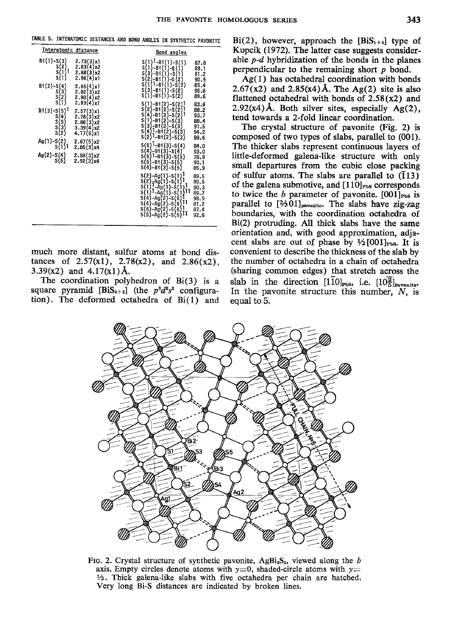TABLE 5. INTERATOMIC DISTANCES AND BOND ANGLES IN SYNTHETIC PAVONITE

| Interatomic distance                                                                                                                                                                                                                                                         |                                                                                                                                                                                                                                                                                              | Bond angles                                                                                                                                                                                                                                                                                                                                                                                                                                                                                                                                                                                                                                                                                                                                                                                                                                                                                                                                     |
|------------------------------------------------------------------------------------------------------------------------------------------------------------------------------------------------------------------------------------------------------------------------------|----------------------------------------------------------------------------------------------------------------------------------------------------------------------------------------------------------------------------------------------------------------------------------------------|-------------------------------------------------------------------------------------------------------------------------------------------------------------------------------------------------------------------------------------------------------------------------------------------------------------------------------------------------------------------------------------------------------------------------------------------------------------------------------------------------------------------------------------------------------------------------------------------------------------------------------------------------------------------------------------------------------------------------------------------------------------------------------------------------------------------------------------------------------------------------------------------------------------------------------------------------|
| $Bi(1)-S(3)$<br>s(2)<br>s(1)1<br>S(1)<br>$B1(2)-S(4)$<br>$\begin{array}{c} s(3) \\ s(2) \\ s(1) \end{array}$<br>$B(3)-S(5)$ <sup>1</sup><br>$\left(4\right)$<br>$\begin{array}{c} 5(4) \\ 5(5) \\ 5(3) \\ 5(2) \end{array}$<br>$Ag(1)-S(2)$<br>s(1)1<br>$Ag(2)-S(4)$<br>S(5) | $2.73(3)$ x1<br>$2.83(4) \times 2$<br>2.88(3)x2<br>2.96(4)x1<br>$2.65(4)$ x1<br>2.82(3)x2<br>$2.90(4)$ x2<br>$2.93(4) \times 1$<br>$2.57(3) \times 7$<br>$2.78(3)x2$<br>$2.86(3)x2$<br>$3.39(4) \times 2$<br>$4.17(5)$ x1<br>$2.67(5) \times 2$<br>$2.85(3)$ x4<br>2.58(3)x2<br>$2.92(3)$ x4 | $1)$ <sup>1</sup> -Bi(1)-S(1)<br>87.8<br>$\mathbb{S}^j$<br>ı<br>-B‡ (<br>89.1<br>si<br>$3)-Bi(1)$<br>-s(<br>91.2<br>S(2)-Bi(1)-S(2)<br>90.9<br>$1\overline{)1-B1(1)-S(2)}$<br>s(<br>85.4<br>3)-Bi(<br>s(<br>-S(2)<br>95.6<br>S(1)-Bi(1)-S(2)<br>89.6<br>S(1<br>-S(2)]<br>-Bi(2)<br>83.6<br>-s(2)1<br>S<br>$\left( 2\right)$<br>-B1(2)<br>88.2<br>$s(4)-B1(2)-S(2)1\ns(1)-B1(2)-S(3)\ns(3)-B1(2)-S(3)\ns(4)-B1(2)-S(3)\ns(2)-B1(2)-S(3)$<br>93.7<br>88.4<br>91.5<br>94.2<br>89.6<br>$S(5)^{1}-Bf(3)-S(4)$<br>84.0<br>$S(4) - B1(3) - S(4)$<br>S(5) <sup>1</sup> -B1(3)-S(5)<br>S(5)-B1(3)-S(5)<br>93.0<br>78.9<br>90.1<br>Ś<br>$4)-B1(3)-S(5)$<br>85.9<br>S(2)-Ag(1)-S(1<br>89.5<br>$S(2) = Ag(1) - S(1)$<br>$S(1) = Ag(1) - S(1)$<br>$S(1) = Ag(1) - S(1)$<br>$S(4) = Ag(2) - S(5)$<br>90.5<br>١I<br>90.3<br>11<br>89.7<br>ı<br>98.9<br>11<br>$S(4) - Ag(2) - S(5)$<br>81.2<br>$s(5) - Ag(2) - s(5)$<br>87.4<br>$s(5) - Ag(2) - S(5)11$<br>92.6 |

much more distant, sulfur atoms at bond distances of  $2.57(x1)$ ,  $2.78(x2)$ , and  $2.86(x2)$ , 3.39(x2) and  $4.17(x1)$ Å.

The coordination polyhedron of Bi(3) is a square pyramid  $[BiS_{a+2}]$  (the  $p^3d^2s^2$  configuration). The deformed octahedra of Bi(l) and  $Bi(2)$ , however, approach the  $[BiS<sub>1+5</sub>]$  type of Kupcik (1972). The latter case suggests considerable  $p-d$  hybridization of the bonds in the planes perpendicular to the remaining short  $p$  bond.

Ag(1) has octahedral coordination with bonds 2.67(x2) and 2.85(x4) Å. The Ag(2) site is also flattened octahedral with bonds of  $2.58(x2)$  and 2.92(x4)Å. Both silver sites, especially  $Ag(2)$ , tend towards a 2-fold linear coordination.

The crystal structure of pavonite (Fig. 2) is composed of two types of slabs, parallel to (001). The thicker slabs represent continuous layers of little-deformed galena-like structure with only small departures from the cubic close packing of sulfur atoms. The slabs are parallel to  $(113)$ of the galena submotive, and  $[110]_{\text{Pb}}$  corresponds to twice the  $b$  parameter of pavonite.  $[001]_{\text{PbS}}$  is parallel to  $[2/301]_{\text{pavonic}}$ . The slabs have zig-zag boundaries, with the coordination octahedra of Bi(2) protruding. All thick slabs have the same orientation and, with good approximation, adjacent slabs are out of phase by  $\frac{1}{2}$ [001]<sub>PbS</sub>. It is convenient to describe the thickness of the slab by the number of octahedra in a chain of octahedra (sharing common edges) that stretch across the slab in the direction  $[1\bar{1}0]_{\text{PbS}}$ , i.e.  $[10\frac{2}{5}]_{\text{pavonic}}$ . In the pavonite structure this number,  $N$ , is equal to 5.



FIG. 2. Crystal structure of synthetic pavonite,  $AgBi<sub>3</sub>S<sub>5</sub>$ , viewed along the b axis. Empty circles denote atoms with  $y=0$ , shaded-circle atoms with  $y=$ 1/2. Tbick galena-like slabs with five octahedra per chain are hatched. Very long Bi-S distances are indicated by broken lines.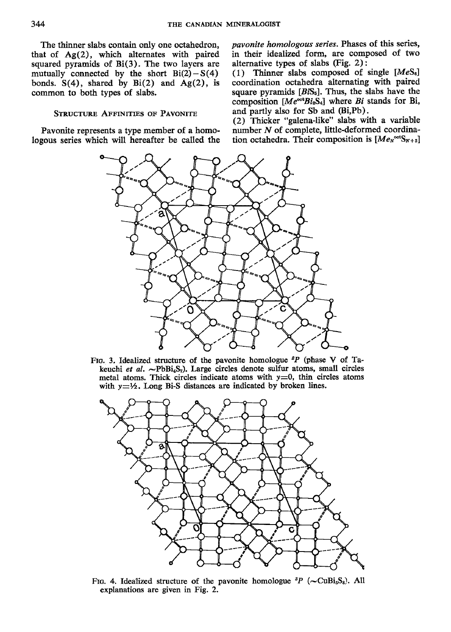The thinner slabs contain only one octahedron, that of Ag(2), which alternates with paired squared pyramids of Bi(3). The two layers are mutually connected by the short  $Bi(2) - S(4)$ bonds.  $S(4)$ , shared by  $Bi(2)$  and  $Ag(2)$ , is common to both types of slabs.

# STRUCTURE AFFINITIES OF PAVONITE

Pavonite represents a type member of a homologous series which will hereafter be called the pavonite homologous series. Phases of this series, in their idealized forrn, are composed of two alternative types of slabs (Fig. 2):

(1) Thinner slabs composed of single  $[MeS_6]$ coordination octahedra alternating with paired square pyramids  $[BiS<sub>s</sub>]$ . Thus, the slabs have the composition  $[Me^{oct}Bi_2S_4]$  where Bi stands for Bi, and partly also for Sb and (Bi,Pb).

(2) Thicker "galena-like" slabs with a variable number N of complete, little-deformed coordination octahedra. Their composition is  $[M_{\ell_N}^{\text{oct}}S_{N+3}]$ 



FIG. 3. Idealized structure of the payonite homologue  ${}^{2}P$  (phase V of Takeuchi et al.  $\sim PbBi_4S_7$ ). Large circles denote sulfur atoms, small circles metal atoms. Thick circles indicate atoms with  $y=0$ , thin circles atoms with  $y=1/2$ . Long Bi-S distances are indicated by broken lines.



Ftg. 4. Idealized structure of the pavonite homologue  ${}^{3}P$  ( $\sim$ CuBi<sub>5</sub>S<sub>8</sub>). All explanations are given in Fig. 2.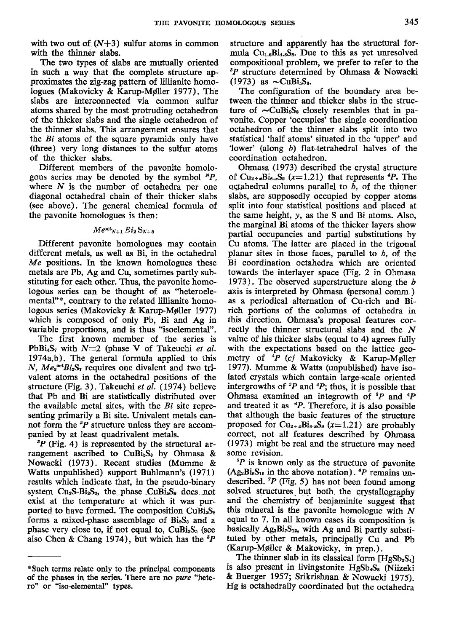with two out of  $(N+3)$  sulfur atoms in common with the thinner slabs.

The two types of slabs are mutually oriented in such a way that the complete structure approximates the zig-zag pattern of lillianite homologues (Makovicky & Karup-Møller 1977). The slabs are interconnected via common sulfur atoms shared by the most protruding octahedron of the thicker slabs and the single octahedron of the thinner slabs. This arrangement ensures that the Bi atoms of the square pyramids only have (three) very long distances to the sulfur atoms of the thicker slabs.

Different members of the pavonite homologous series may be denoted by the symbol  ${}^{N}P$ , where  $N$  is the number of octahedra per one diagonal octahedral chain of their ihicker slabs (see above). The general chemical formula of the pavonite homologues is then:

## $Me^{ot}N+1} Bi_2 S_{N+5}$

Different pavonite homologues may contain different metals, as well as Bi, in the octahedral Me positions. In the known homologues these metals are Pb, Ag and Cu, sometimes partly substituting for each other. Thus, the pavonite homologous series can be thought of as "heteroelemental"\*, contrary to the related lillianite homologous series (Makovicky & Karup-Møller 1977) which is composed of only Pb, Bi and Ag in variable proportions, and is thus "isoelemental".

The first known member of the series is PbBi<sub>4</sub>S<sub>7</sub> with  $N=2$  (phase V of Takeuchi et al. l974a,b), The general formula applied to this N,  $Me<sub>3</sub>^{\text{oct}}Bi<sub>2</sub>S<sub>7</sub>$  requires one divalent and two trivalent atoms in the octahedral positions of the structure (Fig. 3). Takeuchi et al. (1974) believe that Pb and Bi are statistically distributed over the available metal sites, with the  $Bi$  site representing primarily a Bi site. Univalent metals cannot form the  ${}^{2}P$  structure unless they are accompanied by at least quadrivalent metals.

 ${}^{3}P$  (Fig. 4) is represented by the structural arrangement ascribed to CuBi<sub>s</sub>S<sub>s</sub> by Ohmasa & Nowacki (1973). Recent studies (Mumme & Watts unpublished) support Buhlmann's (1971) results which indicate that, in the pseudo-binary system  $Cu<sub>2</sub>S-Bi<sub>2</sub>S<sub>3</sub>$ , the phase  $CuBi<sub>5</sub>S<sub>8</sub>$  does not exist at the temperature at which it was purported to have formed. The composition CuBi<sub>s</sub>S<sub>s</sub> forms a mixed-phase assemblage of  $Bi<sub>2</sub>S<sub>3</sub>$  and a phase very close to, if not equal to,  $\text{CuBi}_3\text{S}_5$  (see also Chen & Chang 1974), but which has the  ${}^{3}P$ 

structure and apparently has the structural formula  $Cu_{1,8}Bi_{4,8}S_8$ . Due to this as yet unresolved compositional problem, we prefer to refer to the ? structure determined by Ohmasa & Nowacki  $(1973)$  as  $\sim$ CuBi<sub>5</sub>S<sub>8</sub>.

The configuration of the boundary area between the thinner and thicker slabs in the structure of  $\sim$ CuBi<sub>5</sub>S<sub>8</sub> closely resembles that in pavonite. Copper'occupies' the single coordination octahedron of the thinner slabs split into two<br>statistical 'half atoms' situated in the 'upper' and 'lower' (along  $b$ ) flat-tetrahedral halves of the coordination octahedron.

Ohmasa (1973) described the crystal structure of  $Cu_{2+x}Bi_{6-x}S_9$  (x=1.21) that represents <sup>4</sup>P. The octahedral columns parallel to  $b$ , of the thinner slabs, are supposedly occupied by copper atoms split into four statistical positions and placed at the same height, y, as the S and Bi atoms. Also, the marginal Bi atoms of the thicker layers show partial occupancies and partial substitutions by Cu atoms. The latter are placed in the trigonal planar sites in those faces, parallel to  $b$ , of the Bi coordination octahedra which are oriented towards the interlayer space (Fig. 2 in Ohmasa 1973). The observed superstructure along the  $b$ axis is interpreted by Ohmasa (personal comm ) as a periodical alternation of Cu-rich and Birich portions of the columns of octahedra in this direction. Ohmasa's proposal features correctly the thinner structural slabs and the N value of his thicker slabs (equal to 4) agrees fully with the expectations based on the lattice geometry of  ${}^{4}P$  (cf Makovicky & Karup-Møller 1977). Mumme & Watts (unpublished) have isolated crystals which contain large-scale oriented intergrowths of  ${}^{3}P$  and  ${}^{4}P$ ; thus, it is possible that Ohmasa examined an integrowth of  ${}^{3}P$  and  ${}^{4}P$ and treated it as  ${}^{4}P$ . Therefore, it is also possible that although the basic features of the structure proposed for  $Cu_{2+x}Bi_{6-x}S_9$  (x=1.21) are probably correct, not all features described bv Ohmasa (1973) might be real and the structure may need some revision.

 ${}^{5}P$  is known only as the structure of pavonite  $(Ag_2Bi_6S_{10}$  in the above notation).  ${}^6P$  remains undescribed.  $P$  (Fig. 5) has not been found among solved structures but both the crystallography and the chemistry of benjaminite suggest that this mineral is the pavonite homologue with  $N$ equal to 7. In all known cases its composition is basically  $Ag_3Bi_7S_{12}$ , with Ag and Bi partly substituted by other metals, principally Cu and Pb (Karup-Møller & Makovicky, in prep.).

The thinner slab in its classical form  $[HgSb_2S_4]$ is also present in livingstonite HgSb<sub>4</sub>S<sub>8</sub> (Niizeki & Buerger 1957; Srikrishnan & Nowacki 1975). Hg is octahedrally coordinated but the octahedra

<sup>\*</sup>Such terms relate only to the principal components of the phases in the series. There are no *pure* "hetero" or "iso-elemental" types.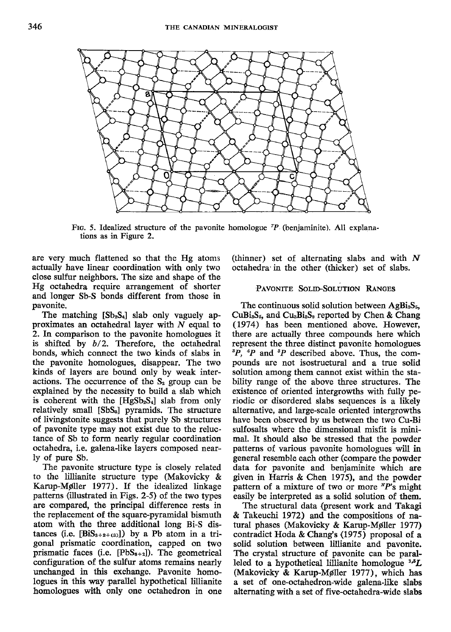

Ftg. 5. Idealized structure of the pavonite homologue  $\mathbb{Z}P$  (benjaminite). All explanations as in Figure 2.

are very much flattened so that the Hg atoms actually have linear coordination with only two close sulfur neighbors. The size and shape of the Hg octahedra require arrangement of shorter and longer Sb-S bonds different from those in pavonite.

The matching  $[Sb_2S_4]$  slab only vaguely approximates an octahedral layer with  $N$  equal to 2. In comparison to the pavonite homologues it is shifted by  $b/2$ . Therefore, the octahedral bonds, which connect the two kinds of slabs in the pavonite homologues, disappear. The two kinds of layers are bound only by weak interactions. The occurrence of the  $S_2$  group can be explained by the necessity to build a slab which is coherent with the  $[HgSb<sub>2</sub>S<sub>4</sub>]$  slab from only relatively small  $[SbS<sub>s</sub>]$  pyramids. The structure of livingstonite suggests that purely Sb structures of pavonite type may not exist due to the reluctance of Sb to form nearly regular coordination octahedra, i.e. galena-like layers composed nearly of pure Sb.

The pavonite structure type is closely related to the lillianite structure type (Makovicky & Karup-Møller 1977). If the idealized linkage patterns (illustrated in Figs.  $2-5$ ) of the two types are compared, the principal difference rests in the replacement of the square-pyramidal bismuth atom with the three additional long Bi-S distances (i.e.  $[BiS_{3+2+(3)}]$ ) by a Pb atom in a trigonal prismatic coordination, capped on two prismatic faces (i.e.  $[PbS_{6+2}]$ ). The geometrical configuration of the sulfur atoms remains nearly unchanged in this exchange. Favonite homologues in this way parallel hypothetical lillianite homologues wiih only one octahedron in one

(thinner) set of alternating slabs and with  $N$ octahedra'in the other (thicker) set of slabs.

## PAVONITE SOLID-SOLUTION RANGES

The continuous solid solution between  $AgBi<sub>35</sub>$ ,  $CuBi<sub>3</sub>S<sub>5</sub>$ , and  $Cu<sub>3</sub>Bi<sub>5</sub>S<sub>9</sub>$  reported by Chen & Chang  $(1974)$  has been mentioned above. However, there are actually three compounds here whicb represent the three distinct pavonite homologues  ${}^{3}P$ ,  ${}^{4}P$  and  ${}^{5}P$  described above. Thus, the compounds are not isostructural and a true solid solution among them cannot exist within the stabiiity range of the above three structures. The existence of oriented intergrowths with fully periodic or disordered slabs sequences is a likely alternative, and large-scale oriented intergrowths have been observed by us between the two Cu-Bi sulfosalts where the dimensional misfit is minimal. It should also be stressed that the powder patterns of various pavonite homologues will in general resemble each other (compare the powder data for pavonite and benjaminite which are given in Harris & Chen i975), and the powder pattern of a mixture of two or more  $P$ 's might easily be interpreted as a solid solution of them.

The structural data (present work and Takagi & Takeuchi L972) and, the compositions of natural phases (Makovicky & Karup-Møller 1977) contradict Hoda & Chang's  $(1975)$  proposal of a solid solution between lillianite and pavonite. The crystal structure of pavonite can be paralleled to a hypothetical lillianite homologue  $^{1,5}L$ (Makovicky & Karup-Møller 1977), which has a set of one-octahedron-wide galena-like slabs alternating with a set of five-octahedra-wide slabs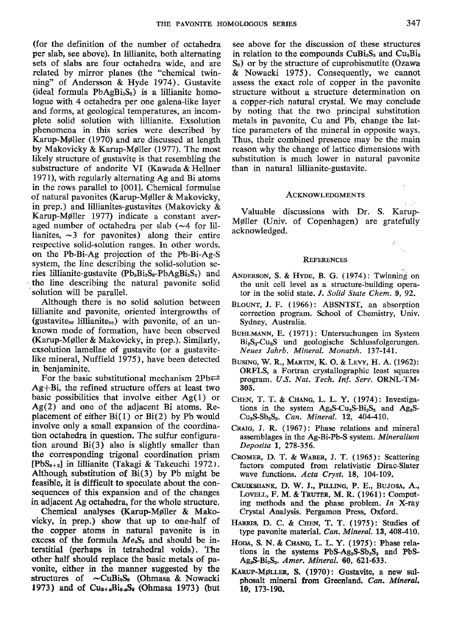(for the definition of the nurnber of octahedra per slab, see above). In lillianite, both alternating sets of slabs are four octahedra wide. and are related by mirror planes (the "chemical twinning" of Andersson & Hyde  $1974$ ). Gustavite (ideal formula  $PbAgBi<sub>3</sub>S<sub>6</sub>$ ) is a lillianite homologue with 4 octahedra per one galena-like layer and forms, at geological temperatures, an incomplete solid solution with lillianite. Exsolution phenomena in this series were described by Karup-Møller (1970) and are discussed at length by Makovicky & Karup-Møller (1977). The most likely structure of gustavite is that resembling the substructure of andorite VI (Kawada & Hellner 1971), with regularly alternating Ag and Bi atoms in the rows parallel to [0O1]. Chemical formulae of natural pavonites (Karup-Møller & Makovicky, in prep.) and lillianites-gustavites (Makovicky & Karup-Møller 1977) indicate a constant averaged number of octahedra per slab  $(\sim 4$  for lillianites,  $\sim$ 3 for pavonites) along their entire respective solid-solution ranges. In other words. on the Pb-Bi-Ag projection of the Pb-Bi-Ag-S system, the line describing the solid-solution series lillianite-gustavite  $(Pb_3Bi_2S_6-PbAgBi_3S_6)$  and the line describing the natural pavonite solid solution will be parallel.

Although there is no solid solution between lillianite and pavonite, oriented intergrowths of (gustavite<sub>so</sub> lillianite<sub>20</sub>) with pavonite, of an unknown mode of formation, have been observed (Karup-M@ller & Makovicky, in prep.). Similarly, exsolution lamellae of gustavite (or a gustavitelike mineral, Nuffield 1975), have been detected in benjaminite.

For the basic substitutional mechanism  $2Pb \rightleftarrows$ Ag+Bi, the refined structure offers at least two basic possibilities that involve either  $Ag(1)$  or Ag(2) and one of the adjacent Bi atoms. Replacement of either  $Bi(1)$  or  $Bi(2)$  by Pb would involve only a small expansion of the coordination octahedra in question. The sulfur configuration around Bi(3) also is slightly smaller than the corresponding trigonal coordination prism  $[PbS<sub>6+2</sub>]$  in lillianite (Takagi & Takeuchi 1972). Although substitution of  $Bi(3)$  by Pb might be feasible, it is difficult to speculate about the consequences of this expansion and of the changes in adjacent Ag octahedra, for the whole structure.

Chemical analyses (Karup-Møller & Makovicky, in prep.) show that up to one-half of the copper atoms in natural pavonite is in excess of the formula  $Me<sub>4</sub>S<sub>5</sub>$  and should be interstitial (perhaps in tetrahedral voids). The other half should replace the basic metals of pavonite, either in tho manner suggested by the structures of  $\sim$ CuBi<sub>s</sub>S<sub>s</sub> (Ohmasa & Nowacki 1973) and of  $\text{Cu}_{2+x}\text{Bi}_{4-x}\text{S}_{9}$  (Ohmasa 1973) (but

see above for the discussion of these structures in relation to the compounds  $CuBi<sub>3</sub>S<sub>5</sub>$  and  $Cu<sub>3</sub>Bi<sub>5</sub>$  $S<sub>9</sub>$ ) or by the structure of cuprobismutite (Ozawa & Nowacki 1975). Consequently, we cannot assess the exact role of copper in the pavonite structure without a structure determination on a copper-rich natural crystal. We may conclude by noting that the two principal substitution metals in pavonite, Cu and Pb, change the lattice parameters of the mineral in opposite ways. Thus, their combined presence may be the main reason why the change of lattice dimensions with substitution is much lower in natural pavonite than in natural lillianite-eustavite.

### **ACKNOWLEDGMENTS**

Valuable discussions with Dr. S. Karup-Møller (Univ. of Copenhagen) are gratefully acknowledged.

#### **REFERENCES**

- ANDERSON, S. & HYDE, B. G. (1974): Twinning on the unit cell level as a structure-building operator in the solid state. J. Solid State Chem. 9, 92.
- BLOUNT, J. F. (1966): ABSNTST, an absorption correction program. School of Chemistry, Univ. Sydney, Australia.
- BUHLMANN, E. (1971): Untersuchungen im System Bi<sub>2</sub>S<sub>3</sub>-Cu<sub>2</sub>S und geologische Schlussfolgerungen. Neues Jahrb. Mineral. Monatsh. 137-141.
- BUSING, W. R., MARTIN, K. O. & LEVY, H. A. (1962): ORFIS, a Fortran crystallographic least squares program. U.S. Nat. Tech. Inf. Serv. ORNL-TM-305.
- CHEN, T. T. & CHANG, L. L. Y. (1974): Investigations in the system  $Ag_2S\text{-Cu}_2S-Bi_2S_3$  and  $Ag_2S Cu<sub>2</sub>S-Sb<sub>2</sub>S<sub>3</sub>$ . *Can. Mineral.* 12, 404-410.
- CRAIG, J. R. (1967): Phase relations and mineral assemblages in the Ag-Bi-Pb-S system. Mineralium Deposita 1, 278-356.
- CROMER, D. T. & WABER, J. T. (1965): Scattering factors computed from relativistic Dirac-Slater wave functions, Acta Cryst, 18, 104-109.
- CRUIKSHANK, D. W. J., PILLING, P. E., BUJOSA, A., LOVELL, F. M. & TRUTER, M. R. (1961): Computing methods and the phase problem. In X-ray Crystal Analysis. Pergamon Press, Oxford.
- HARRIS, D. C. & CHEN, T. T. (1975): Studies of type pavonite material. Can. Mineral. 13, 408-410.
- HODA, S. N. & CHANG, L. L. Y. (1975): Phase relations in the systems  $PbS-Ag_2S-Sb_2S_3$  and PbS- $Ag_2S-Bi_2S_3$ . Amer. Mineral. 60, 621-633.
- KARUP-MØLLER, S. (1970): Gustavite, a new sulphosalt mineral from Greenland. Can. Mineral. 10; 173-190.

è